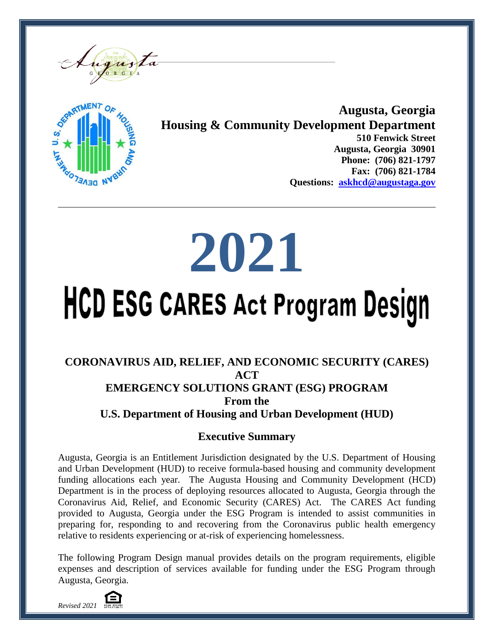



**Augusta, Georgia Housing & Community Development Department 510 Fenwick Street Augusta, Georgia 30901 Phone: (706) 821-1797 Fax: (706) 821-1784 Questions: [askhcd@augustaga.gov](mailto:askhcd@augustaga.gov)**

# **2021**

# **HCD ESG CARES Act Program Design**

### **CORONAVIRUS AID, RELIEF, AND ECONOMIC SECURITY (CARES) ACT EMERGENCY SOLUTIONS GRANT (ESG) PROGRAM From the U.S. Department of Housing and Urban Development (HUD)**

## **Executive Summary**

Augusta, Georgia is an Entitlement Jurisdiction designated by the U.S. Department of Housing and Urban Development (HUD) to receive formula-based housing and community development funding allocations each year. The Augusta Housing and Community Development (HCD) Department is in the process of deploying resources allocated to Augusta, Georgia through the Coronavirus Aid, Relief, and Economic Security (CARES) Act. The CARES Act funding provided to Augusta, Georgia under the ESG Program is intended to assist communities in preparing for, responding to and recovering from the Coronavirus public health emergency relative to residents experiencing or at-risk of experiencing homelessness.

The following Program Design manual provides details on the program requirements, eligible expenses and description of services available for funding under the ESG Program through Augusta, Georgia.

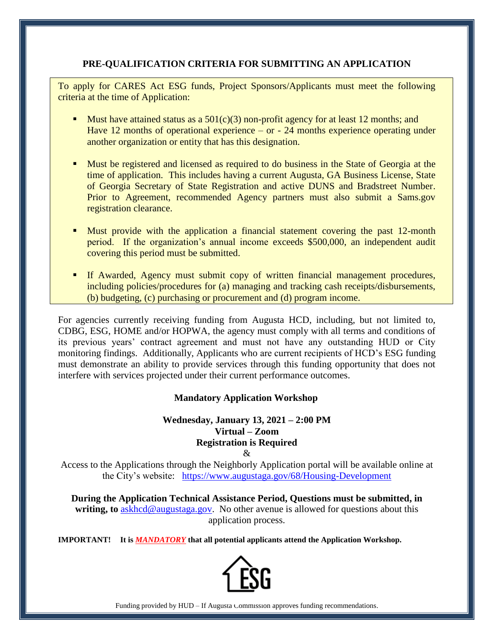#### **PRE-QUALIFICATION CRITERIA FOR SUBMITTING AN APPLICATION**

To apply for CARES Act ESG funds, Project Sponsors/Applicants must meet the following criteria at the time of Application:

- Must have attained status as a  $501(c)(3)$  non-profit agency for at least 12 months; and Have 12 months of operational experience – or - 24 months experience operating under another organization or entity that has this designation.
- **Must be registered and licensed as required to do business in the State of Georgia at the** time of application. This includes having a current Augusta, GA Business License, State of Georgia Secretary of State Registration and active DUNS and Bradstreet Number. Prior to Agreement, recommended Agency partners must also submit a Sams.gov registration clearance.
- **Muster provide with the application a financial statement covering the past 12-month** period. If the organization's annual income exceeds \$500,000, an independent audit covering this period must be submitted.
- If Awarded, Agency must submit copy of written financial management procedures, including policies/procedures for (a) managing and tracking cash receipts/disbursements, (b) budgeting, (c) purchasing or procurement and (d) program income.

For agencies currently receiving funding from Augusta HCD, including, but not limited to, CDBG, ESG, HOME and/or HOPWA, the agency must comply with all terms and conditions of its previous years' contract agreement and must not have any outstanding HUD or City monitoring findings. Additionally, Applicants who are current recipients of HCD's ESG funding must demonstrate an ability to provide services through this funding opportunity that does not interfere with services projected under their current performance outcomes.

#### **Mandatory Application Workshop**

#### **Wednesday, January 13, 2021 – 2:00 PM Virtual – Zoom Registration is Required**

&

Access to the Applications through the Neighborly Application portal will be available online at the City's website: <https://www.augustaga.gov/68/Housing-Development>

**During the Application Technical Assistance Period, Questions must be submitted, in writing, to** [askhcd@augustaga.gov.](mailto:askhcd@augustaga.gov) No other avenue is allowed for questions about this application process.

**IMPORTANT! It is** *MANDATORY* **that all potential applicants attend the Application Workshop.**



Funding provided by HUD – If Augusta Commission approves funding recommendations.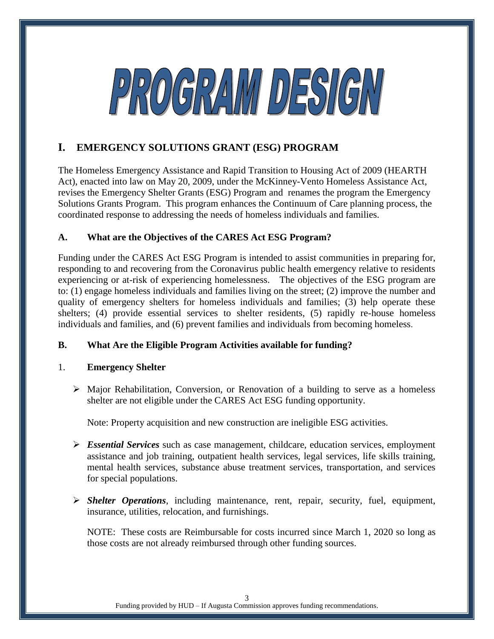

#### **I. EMERGENCY SOLUTIONS GRANT (ESG) PROGRAM**

The Homeless Emergency Assistance and Rapid Transition to Housing Act of 2009 (HEARTH Act), enacted into law on May 20, 2009, under the McKinney-Vento Homeless Assistance Act, revises the Emergency Shelter Grants (ESG) Program and renames the program the Emergency Solutions Grants Program. This program enhances the Continuum of Care planning process, the coordinated response to addressing the needs of homeless individuals and families.

#### **A. What are the Objectives of the CARES Act ESG Program?**

Funding under the CARES Act ESG Program is intended to assist communities in preparing for, responding to and recovering from the Coronavirus public health emergency relative to residents experiencing or at-risk of experiencing homelessness. The objectives of the ESG program are to: (1) engage homeless individuals and families living on the street; (2) improve the number and quality of emergency shelters for homeless individuals and families; (3) help operate these shelters; (4) provide essential services to shelter residents, (5) rapidly re-house homeless individuals and families, and (6) prevent families and individuals from becoming homeless.

#### **B. What Are the Eligible Program Activities available for funding?**

#### 1. **Emergency Shelter**

 $\triangleright$  Major Rehabilitation, Conversion, or Renovation of a building to serve as a homeless shelter are not eligible under the CARES Act ESG funding opportunity.

Note: Property acquisition and new construction are ineligible ESG activities.

- *Essential Services* such as case management, childcare, education services, employment assistance and job training, outpatient health services, legal services, life skills training, mental health services, substance abuse treatment services, transportation, and services for special populations.
- *Shelter Operations*, including maintenance, rent, repair, security, fuel, equipment, insurance, utilities, relocation, and furnishings.

NOTE: These costs are Reimbursable for costs incurred since March 1, 2020 so long as those costs are not already reimbursed through other funding sources.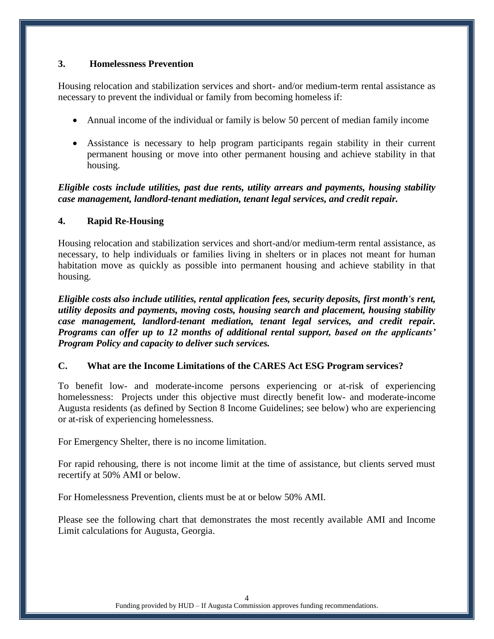#### **3. Homelessness Prevention**

Housing relocation and stabilization services and short- and/or medium-term rental assistance as necessary to prevent the individual or family from becoming homeless if:

- Annual income of the individual or family is below 50 percent of median family income
- Assistance is necessary to help program participants regain stability in their current permanent housing or move into other permanent housing and achieve stability in that housing.

*Eligible costs include utilities, past due rents, utility arrears and payments, housing stability case management, landlord-tenant mediation, tenant legal services, and credit repair.*

#### **4. Rapid Re-Housing**

Housing relocation and stabilization services and short-and/or medium-term rental assistance, as necessary, to help individuals or families living in shelters or in places not meant for human habitation move as quickly as possible into permanent housing and achieve stability in that housing.

*Eligible costs also include utilities, rental application fees, security deposits, first month's rent, utility deposits and payments, moving costs, housing search and placement, housing stability case management, landlord-tenant mediation, tenant legal services, and credit repair. Programs can offer up to 12 months of additional rental support, based on the applicants' Program Policy and capacity to deliver such services.* 

#### **C. What are the Income Limitations of the CARES Act ESG Program services?**

To benefit low- and moderate-income persons experiencing or at-risk of experiencing homelessness: Projects under this objective must directly benefit low- and moderate-income Augusta residents (as defined by Section 8 Income Guidelines; see below) who are experiencing or at-risk of experiencing homelessness.

For Emergency Shelter, there is no income limitation.

For rapid rehousing, there is not income limit at the time of assistance, but clients served must recertify at 50% AMI or below.

For Homelessness Prevention, clients must be at or below 50% AMI.

Please see the following chart that demonstrates the most recently available AMI and Income Limit calculations for Augusta, Georgia.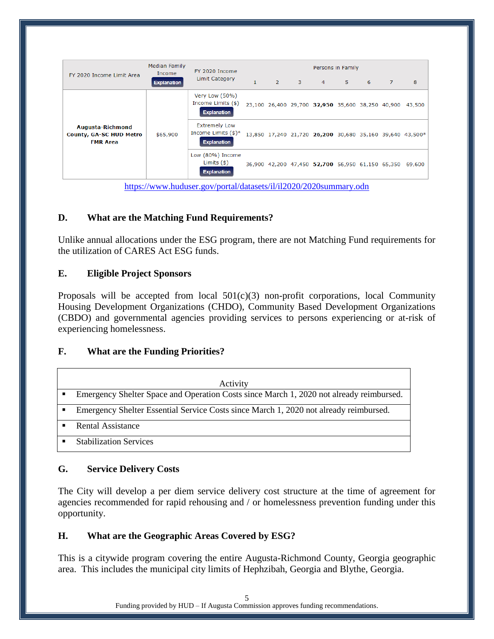|                                                                       | <b>Median Family</b><br>Income<br><b>Explanation</b> | FY 2020 Income<br><b>Limit Category</b>                             | Persons in Family |  |         |                                                         |       |   |                |                                                          |
|-----------------------------------------------------------------------|------------------------------------------------------|---------------------------------------------------------------------|-------------------|--|---------|---------------------------------------------------------|-------|---|----------------|----------------------------------------------------------|
| FY 2020 Income Limit Area                                             |                                                      |                                                                     | $\mathbf{1}$      |  | $2 \t3$ | $\overline{4}$                                          | $5 -$ | 6 | $\overline{7}$ | 8                                                        |
| Augusta-Richmond<br><b>County, GA-SC HUD Metro</b><br><b>FMR Area</b> | \$65,900                                             | Very Low (50%)<br>Income Limits (\$)<br><b>Explanation</b>          |                   |  |         | 23,100 26,400 29,700 32,950 35,600 38,250 40,900        |       |   |                | 43,500                                                   |
|                                                                       |                                                      | <b>Extremely Low</b><br>Income Limits $(*)^*$<br><b>Explanation</b> |                   |  |         |                                                         |       |   |                | 13,850 17,240 21,720 26,200 30,680 35,160 39,640 43,500* |
|                                                                       |                                                      | Low (80%) Income<br>Limits $(\$)$<br><b>Explanation</b>             |                   |  |         | 36,900 42,200 47,450 52,700 56,950 61,150 65,350 69,600 |       |   |                |                                                          |

<https://www.huduser.gov/portal/datasets/il/il2020/2020summary.odn>

#### **D. What are the Matching Fund Requirements?**

Unlike annual allocations under the ESG program, there are not Matching Fund requirements for the utilization of CARES Act ESG funds.

#### **E. Eligible Project Sponsors**

Proposals will be accepted from local  $501(c)(3)$  non-profit corporations, local Community Housing Development Organizations (CHDO), Community Based Development Organizations (CBDO) and governmental agencies providing services to persons experiencing or at-risk of experiencing homelessness.

#### **F. What are the Funding Priorities?**

| Activity                                                                                |
|-----------------------------------------------------------------------------------------|
| Emergency Shelter Space and Operation Costs since March 1, 2020 not already reimbursed. |
| Emergency Shelter Essential Service Costs since March 1, 2020 not already reimbursed.   |
| Rental Assistance                                                                       |
| <b>Stabilization Services</b>                                                           |

#### **G. Service Delivery Costs**

The City will develop a per diem service delivery cost structure at the time of agreement for agencies recommended for rapid rehousing and / or homelessness prevention funding under this opportunity.

#### **H. What are the Geographic Areas Covered by ESG?**

This is a citywide program covering the entire Augusta-Richmond County, Georgia geographic area. This includes the municipal city limits of Hephzibah, Georgia and Blythe, Georgia.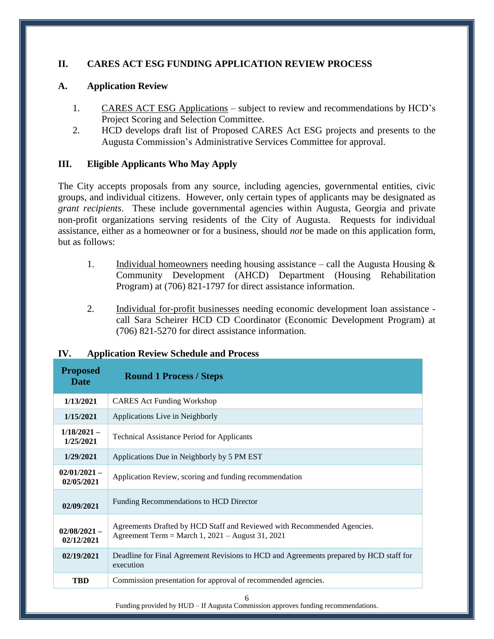#### **II. CARES ACT ESG FUNDING APPLICATION REVIEW PROCESS**

#### **A. Application Review**

- 1. CARES ACT ESG Applications subject to review and recommendations by HCD's Project Scoring and Selection Committee.
- 2. HCD develops draft list of Proposed CARES Act ESG projects and presents to the Augusta Commission's Administrative Services Committee for approval.

#### **III. Eligible Applicants Who May Apply**

The City accepts proposals from any source, including agencies, governmental entities, civic groups, and individual citizens. However, only certain types of applicants may be designated as *grant recipients*. These include governmental agencies within Augusta, Georgia and private non-profit organizations serving residents of the City of Augusta. Requests for individual assistance, either as a homeowner or for a business, should *not* be made on this application form, but as follows:

- 1. Individual homeowners needing housing assistance call the Augusta Housing  $\&$ Community Development (AHCD) Department (Housing Rehabilitation Program) at (706) 821-1797 for direct assistance information.
- 2. Individual for-profit businesses needing economic development loan assistance call Sara Scheirer HCD CD Coordinator (Economic Development Program) at (706) 821-5270 for direct assistance information.

| <b>Proposed</b><br><b>Date</b> | <b>Round 1 Process / Steps</b>                                                                                                |
|--------------------------------|-------------------------------------------------------------------------------------------------------------------------------|
| 1/13/2021                      | <b>CARES</b> Act Funding Workshop                                                                                             |
| 1/15/2021                      | Applications Live in Neighborly                                                                                               |
| $1/18/2021 -$<br>1/25/2021     | <b>Technical Assistance Period for Applicants</b>                                                                             |
| 1/29/2021                      | Applications Due in Neighborly by 5 PM EST                                                                                    |
| $02/01/2021 -$<br>02/05/2021   | Application Review, scoring and funding recommendation                                                                        |
| 02/09/2021                     | Funding Recommendations to HCD Director                                                                                       |
| $02/08/2021 -$<br>02/12/2021   | Agreements Drafted by HCD Staff and Reviewed with Recommended Agencies.<br>Agreement Term = March 1, $2021 -$ August 31, 2021 |
| 02/19/2021                     | Deadline for Final Agreement Revisions to HCD and Agreements prepared by HCD staff for<br>execution                           |
| <b>TRD</b>                     | Commission presentation for approval of recommended agencies.                                                                 |

#### **IV. Application Review Schedule and Process**

Funding provided by HUD – If Augusta Commission approves funding recommendations.

6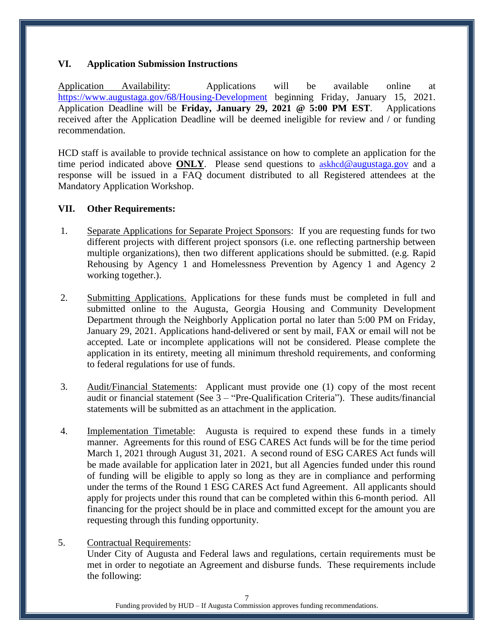#### **VI. Application Submission Instructions**

Application Availability: Applications will be available online at <https://www.augustaga.gov/68/Housing-Development> beginning Friday, January 15, 2021. Application Deadline will be **Friday, January 29, 2021 @ 5:00 PM EST**. Applications received after the Application Deadline will be deemed ineligible for review and / or funding recommendation.

HCD staff is available to provide technical assistance on how to complete an application for the time period indicated above **ONLY**. Please send questions to askhcd[@augustaga.gov](mailto:HCD_feedback@augustaga.gov) and a response will be issued in a FAQ document distributed to all Registered attendees at the Mandatory Application Workshop.

#### **VII. Other Requirements:**

- 1. Separate Applications for Separate Project Sponsors: If you are requesting funds for two different projects with different project sponsors (i.e. one reflecting partnership between multiple organizations), then two different applications should be submitted. (e.g. Rapid Rehousing by Agency 1 and Homelessness Prevention by Agency 1 and Agency 2 working together.).
- 2. Submitting Applications. Applications for these funds must be completed in full and submitted online to the Augusta, Georgia Housing and Community Development Department through the Neighborly Application portal no later than 5:00 PM on Friday, January 29, 2021. Applications hand-delivered or sent by mail, FAX or email will not be accepted. Late or incomplete applications will not be considered. Please complete the application in its entirety, meeting all minimum threshold requirements, and conforming to federal regulations for use of funds.
- 3. Audit/Financial Statements: Applicant must provide one (1) copy of the most recent audit or financial statement (See 3 – "Pre-Qualification Criteria"). These audits/financial statements will be submitted as an attachment in the application.
- 4. Implementation Timetable: Augusta is required to expend these funds in a timely manner. Agreements for this round of ESG CARES Act funds will be for the time period March 1, 2021 through August 31, 2021. A second round of ESG CARES Act funds will be made available for application later in 2021, but all Agencies funded under this round of funding will be eligible to apply so long as they are in compliance and performing under the terms of the Round 1 ESG CARES Act fund Agreement. All applicants should apply for projects under this round that can be completed within this 6-month period. All financing for the project should be in place and committed except for the amount you are requesting through this funding opportunity.
- 5. Contractual Requirements:

Under City of Augusta and Federal laws and regulations, certain requirements must be met in order to negotiate an Agreement and disburse funds. These requirements include the following: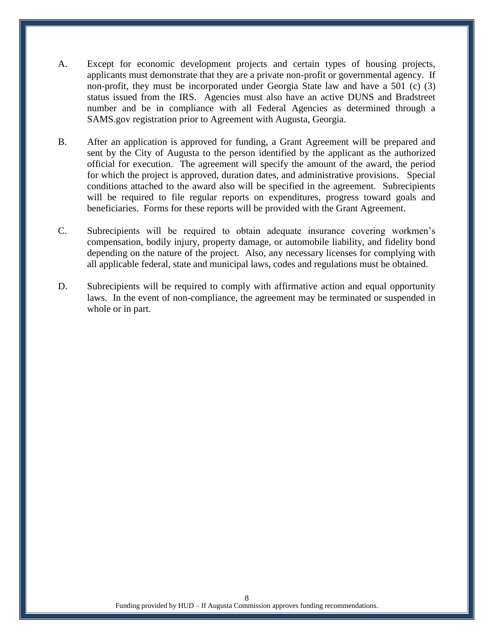- A. Except for economic development projects and certain types of housing projects, applicants must demonstrate that they are a private non-profit or governmental agency. If non-profit, they must be incorporated under Georgia State law and have a 501 (c) (3) status issued from the IRS. Agencies must also have an active DUNS and Bradstreet number and be in compliance with all Federal Agencies as determined through a SAMS.gov registration prior to Agreement with Augusta, Georgia.
- B. After an application is approved for funding, a Grant Agreement will be prepared and sent by the City of Augusta to the person identified by the applicant as the authorized official for execution. The agreement will specify the amount of the award, the period for which the project is approved, duration dates, and administrative provisions. Special conditions attached to the award also will be specified in the agreement. Subrecipients will be required to file regular reports on expenditures, progress toward goals and beneficiaries. Forms for these reports will be provided with the Grant Agreement.
- C. Subrecipients will be required to obtain adequate insurance covering workmen's compensation, bodily injury, property damage, or automobile liability, and fidelity bond depending on the nature of the project. Also, any necessary licenses for complying with all applicable federal, state and municipal laws, codes and regulations must be obtained.
- D. Subrecipients will be required to comply with affirmative action and equal opportunity laws. In the event of non-compliance, the agreement may be terminated or suspended in whole or in part.